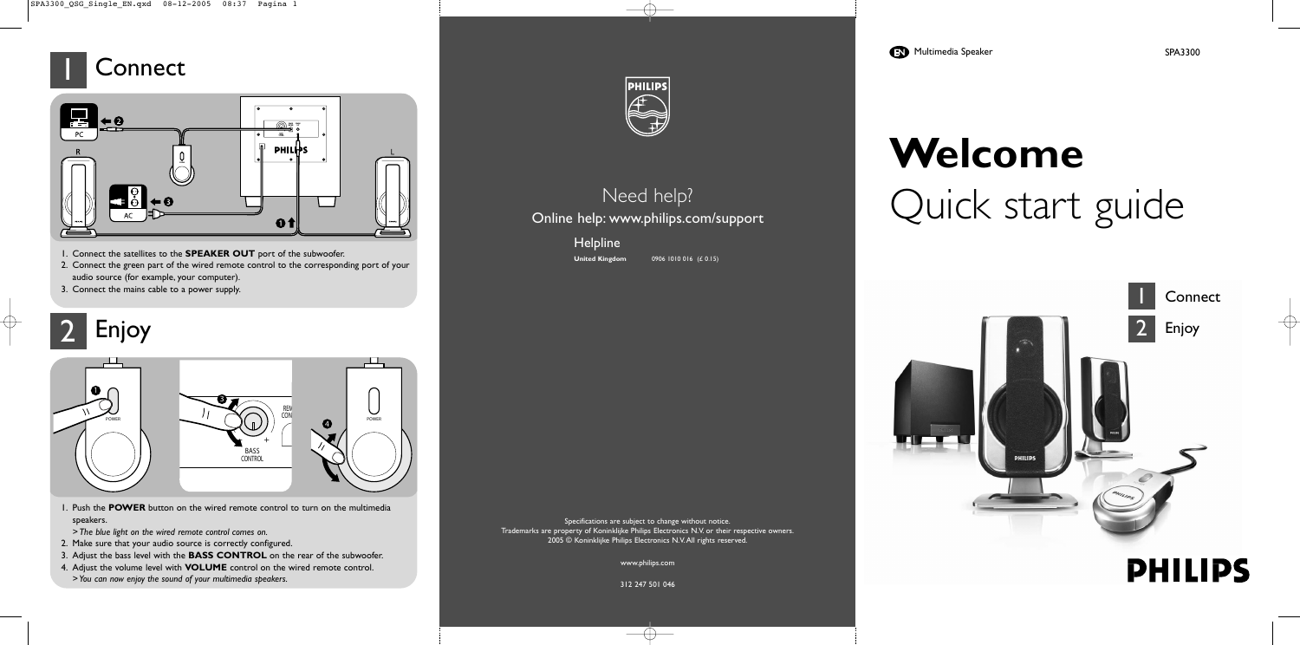

# **Welcome** Quick start guide

Specifications are subject to change without notice. Trademarks are property of Koninklijke Philips Electronics N.V. or their respective owners. 2005 © Koninklijke Philips Electronics N.V.All rights reserved.

www.philips.com

312 247 501 046

 $\longrightarrow$ 

- 1. Connect the satellites to the **SPEAKER OUT** port of the subwoofer.
- 2. Connect the green part of the wired remote control to the corresponding port of your audio source (for example, your computer).
- 3. Connect the mains cable to a power supply.

#### Need help? Online help: www.philips.com/support

**Helpline** 

**United Kingdom** 0906 1010 016 (£ 0.15)





- 1. Push the **POWER** button on the wired remote control to turn on the multimedia speakers.
- *> The blue light on the wired remote control comes on.*
- 2. Make sure that your audio source is correctly configured.
- 3. Adjust the bass level with the **BASS CONTROL** on the rear of the subwoofer.
- 4. Adjust the volume level with **VOLUME** control on the wired remote control. *> You can now enjoy the sound of your multimedia speakers.*



## 2

#### 1 **Connect**